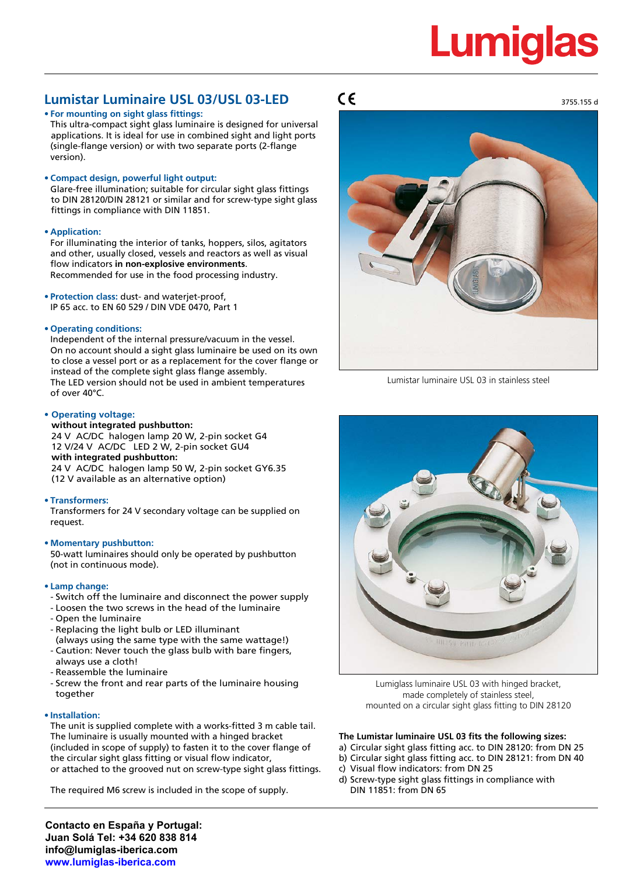# **Lumigla**

### **Lumistar Luminaire USL 03/USL 03-LED**

#### **• For mounting on sight glass fittings:**

This ultra-compact sight glass luminaire is designed for universal applications. It is ideal for use in combined sight and light ports (single-flange version) or with two separate ports (2-flange version).

#### **• Compact design, powerful light output:**

Glare-free illumination; suitable for circular sight glass fittings to DIN 28120/DIN 28121 or similar and for screw-type sight glass fittings in compliance with DIN 11851.

#### **• Application:**

For illuminating the interior of tanks, hoppers, silos, agitators and other, usually closed, vessels and reactors as well as visual flow indicators **in non-explosive environments**. Recommended for use in the food processing industry.

**• Protection class:** dust- and waterjet-proof, IP 65 acc. to EN 60 529 / DIN VDE 0470, Part 1

#### **• Operating conditions:**

Independent of the internal pressure/vacuum in the vessel. On no account should a sight glass luminaire be used on its own to close a vessel port or as a replacement for the cover flange or instead of the complete sight glass flange assembly. The LED version should not be used in ambient temperatures of over 40°C.

#### **• Operating voltage:**

#### **without integrated pushbutton:**

24 V AC/DC halogen lamp 20 W, 2-pin socket G4 12 V/24 V AC/DC LED 2 W, 2-pin socket GU4 **with integrated pushbutton:** 24 V AC/DC halogen lamp 50 W, 2-pin socket GY6.35 (12 V available as an alternative option)

#### **• Transformers:**

Transformers for 24 V secondary voltage can be supplied on request.

#### **• Momentary pushbutton:**

50-watt luminaires should only be operated by pushbutton (not in continuous mode).

#### **• Lamp change:**

- Switch off the luminaire and disconnect the power supply
- Loosen the two screws in the head of the luminaire
- Open the luminaire
- Replacing the light bulb or LED illuminant
- (always using the same type with the same wattage!)
- Caution: Never touch the glass bulb with bare fingers,
- always use a cloth!
- Reassemble the luminaire
- Screw the front and rear parts of the luminaire housing together

#### **• Installation:**

The unit is supplied complete with a works-fitted 3 m cable tail. The luminaire is usually mounted with a hinged bracket (included in scope of supply) to fasten it to the cover flange of the circular sight glass fitting or visual flow indicator, or attached to the grooved nut on screw-type sight glass fittings.

The required M6 screw is included in the scope of supply.

 $\epsilon$ 



Lumistar luminaire USL 03 in stainless steel



Lumiglass luminaire USL 03 with hinged bracket, made completely of stainless steel, mounted on a circular sight glass fitting to DIN 28120

#### **The Lumistar luminaire USL 03 fits the following sizes:**

- a) Circular sight glass fitting acc. to DIN 28120: from DN 25
- b) Circular sight glass fitting acc. to DIN 28121: from DN 40
- c) Visual flow indicators: from DN 25
- d) Screw-type sight glass fittings in compliance with DIN 11851: from DN 65

**Contacto en España y Portugal: Juan Solá Tel: +34 620 838 814 info@lumiglas-iberica.com www.lumiglas-iberica.com**